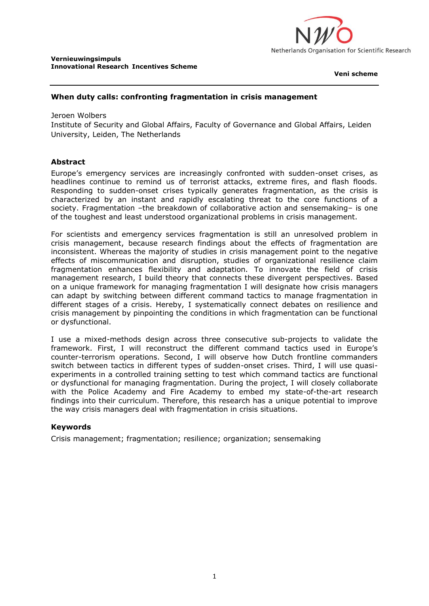

**Veni scheme**

## **When duty calls: confronting fragmentation in crisis management**

Jeroen Wolbers Institute of Security and Global Affairs, Faculty of Governance and Global Affairs, Leiden University, Leiden, The Netherlands

## **Abstract**

Europe's emergency services are increasingly confronted with sudden-onset crises, as headlines continue to remind us of terrorist attacks, extreme fires, and flash floods. Responding to sudden-onset crises typically generates fragmentation, as the crisis is characterized by an instant and rapidly escalating threat to the core functions of a society. Fragmentation -the breakdown of collaborative action and sensemaking- is one of the toughest and least understood organizational problems in crisis management.

For scientists and emergency services fragmentation is still an unresolved problem in crisis management, because research findings about the effects of fragmentation are inconsistent. Whereas the majority of studies in crisis management point to the negative effects of miscommunication and disruption, studies of organizational resilience claim fragmentation enhances flexibility and adaptation. To innovate the field of crisis management research, I build theory that connects these divergent perspectives. Based on a unique framework for managing fragmentation I will designate how crisis managers can adapt by switching between different command tactics to manage fragmentation in different stages of a crisis. Hereby, I systematically connect debates on resilience and crisis management by pinpointing the conditions in which fragmentation can be functional or dysfunctional.

I use a mixed-methods design across three consecutive sub-projects to validate the framework. First, I will reconstruct the different command tactics used in Europe's counter-terrorism operations. Second, I will observe how Dutch frontline commanders switch between tactics in different types of sudden-onset crises. Third, I will use quasiexperiments in a controlled training setting to test which command tactics are functional or dysfunctional for managing fragmentation. During the project, I will closely collaborate with the Police Academy and Fire Academy to embed my state-of-the-art research findings into their curriculum. Therefore, this research has a unique potential to improve the way crisis managers deal with fragmentation in crisis situations.

## **Keywords**

Crisis management; fragmentation; resilience; organization; sensemaking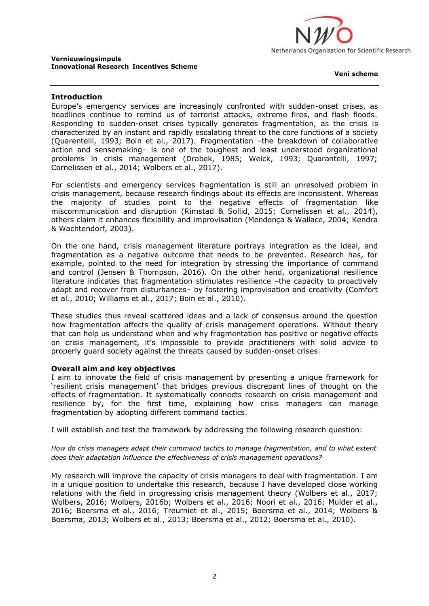

**Veni scheme**

## **Introduction**

Europe's emergency services are increasingly confronted with sudden-onset crises, as headlines continue to remind us of terrorist attacks, extreme fires, and flash floods. Responding to sudden-onset crises typically generates fragmentation, as the crisis is characterized by an instant and rapidly escalating threat to the core functions of a society (Quarentelli, 1993; Boin et al., 2017). Fragmentation –the breakdown of collaborative action and sensemaking– is one of the toughest and least understood organizational problems in crisis management (Drabek, 1985; Weick, 1993; Quarantelli, 1997; Cornelissen et al., 2014; Wolbers et al., 2017).

For scientists and emergency services fragmentation is still an unresolved problem in crisis management, because research findings about its effects are inconsistent. Whereas the majority of studies point to the negative effects of fragmentation like miscommunication and disruption (Rimstad & Sollid, 2015; Cornelissen et al., 2014), others claim it enhances flexibility and improvisation (Mendonça & Wallace, 2004; Kendra & Wachtendorf, 2003).

On the one hand, crisis management literature portrays integration as the ideal, and fragmentation as a negative outcome that needs to be prevented. Research has, for example, pointed to the need for integration by stressing the importance of command and control (Jensen & Thompson, 2016). On the other hand, organizational resilience literature indicates that fragmentation stimulates resilience –the capacity to proactively adapt and recover from disturbances– by fostering improvisation and creativity (Comfort et al., 2010; Williams et al., 2017; Boin et al., 2010).

These studies thus reveal scattered ideas and a lack of consensus around the question how fragmentation affects the quality of crisis management operations. Without theory that can help us understand when and why fragmentation has positive or negative effects on crisis management, it's impossible to provide practitioners with solid advice to properly guard society against the threats caused by sudden-onset crises.

## **Overall aim and key objectives**

I aim to innovate the field of crisis management by presenting a unique framework for 'resilient crisis management' that bridges previous discrepant lines of thought on the effects of fragmentation. It systematically connects research on crisis management and resilience by, for the first time, explaining how crisis managers can manage fragmentation by adopting different command tactics.

I will establish and test the framework by addressing the following research question:

*How do crisis managers adapt their command tactics to manage fragmentation, and to what extent does their adaptation influence the effectiveness of crisis management operations?*

My research will improve the capacity of crisis managers to deal with fragmentation. I am in a unique position to undertake this research, because I have developed close working relations with the field in progressing crisis management theory (Wolbers et al., 2017; Wolbers, 2016; Wolbers, 2016b; Wolbers et al., 2016; Noori et al., 2016; Mulder et al., 2016; Boersma et al., 2016; Treurniet et al., 2015; Boersma et al., 2014; Wolbers & Boersma, 2013; Wolbers et al., 2013; Boersma et al., 2012; Boersma et al., 2010).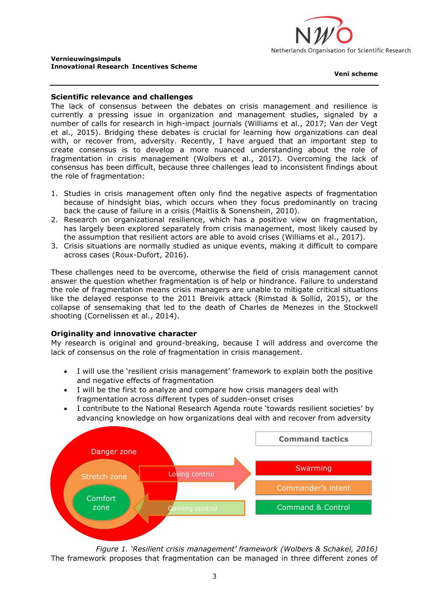

**Veni scheme**

## **Scientific relevance and challenges**

The lack of consensus between the debates on crisis management and resilience is currently a pressing issue in organization and management studies, signaled by a number of calls for research in high-impact journals (Williams et al., 2017; Van der Vegt et al., 2015). Bridging these debates is crucial for learning how organizations can deal with, or recover from, adversity. Recently, I have argued that an important step to create consensus is to develop a more nuanced understanding about the role of fragmentation in crisis management (Wolbers et al., 2017). Overcoming the lack of consensus has been difficult, because three challenges lead to inconsistent findings about the role of fragmentation:

- 1. Studies in crisis management often only find the negative aspects of fragmentation because of hindsight bias, which occurs when they focus predominantly on tracing back the cause of failure in a crisis (Maitlis & Sonenshein, 2010).
- 2. Research on organizational resilience, which has a positive view on fragmentation, has largely been explored separately from crisis management, most likely caused by the assumption that resilient actors are able to avoid crises (Williams et al., 2017).
- 3. Crisis situations are normally studied as unique events, making it difficult to compare across cases (Roux-Dufort, 2016).

These challenges need to be overcome, otherwise the field of crisis management cannot answer the question whether fragmentation is of help or hindrance. Failure to understand the role of fragmentation means crisis managers are unable to mitigate critical situations like the delayed response to the 2011 Breivik attack (Rimstad & Sollid, 2015), or the collapse of sensemaking that led to the death of Charles de Menezes in the Stockwell shooting (Cornelissen et al., 2014).

## **Originality and innovative character**

My research is original and ground-breaking, because I will address and overcome the lack of consensus on the role of fragmentation in crisis management.

- I will use the 'resilient crisis management' framework to explain both the positive and negative effects of fragmentation
- I will be the first to analyze and compare how crisis managers deal with fragmentation across different types of sudden-onset crises
- I contribute to the National Research Agenda route 'towards resilient societies' by advancing knowledge on how organizations deal with and recover from adversity



*Figure 1. 'Resilient crisis management' framework (Wolbers & Schakel, 2016)* The framework proposes that fragmentation can be managed in three different zones of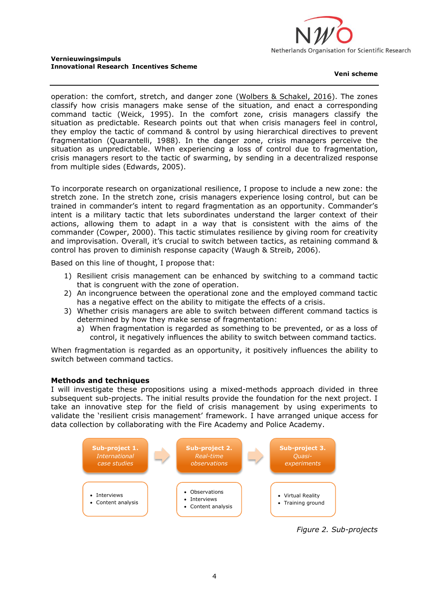

#### **Veni scheme**

operation: the comfort, stretch, and danger zone (Wolbers & Schakel, 2016). The zones classify how crisis managers make sense of the situation, and enact a corresponding command tactic (Weick, 1995). In the comfort zone, crisis managers classify the situation as predictable. Research points out that when crisis managers feel in control, they employ the tactic of command & control by using hierarchical directives to prevent fragmentation (Quarantelli, 1988). In the danger zone, crisis managers perceive the situation as unpredictable. When experiencing a loss of control due to fragmentation, crisis managers resort to the tactic of swarming, by sending in a decentralized response from multiple sides (Edwards, 2005).

To incorporate research on organizational resilience, I propose to include a new zone: the stretch zone. In the stretch zone, crisis managers experience losing control, but can be trained in commander's intent to regard fragmentation as an opportunity. Commander's intent is a military tactic that lets subordinates understand the larger context of their actions, allowing them to adapt in a way that is consistent with the aims of the commander (Cowper, 2000). This tactic stimulates resilience by giving room for creativity and improvisation. Overall, it's crucial to switch between tactics, as retaining command & control has proven to diminish response capacity (Waugh & Streib, 2006).

Based on this line of thought, I propose that:

- 1) Resilient crisis management can be enhanced by switching to a command tactic that is congruent with the zone of operation.
- 2) An incongruence between the operational zone and the employed command tactic has a negative effect on the ability to mitigate the effects of a crisis.
- 3) Whether crisis managers are able to switch between different command tactics is determined by how they make sense of fragmentation:
	- a) When fragmentation is regarded as something to be prevented, or as a loss of control, it negatively influences the ability to switch between command tactics.

When fragmentation is regarded as an opportunity, it positively influences the ability to switch between command tactics.

## **Methods and techniques**

I will investigate these propositions using a mixed-methods approach divided in three subsequent sub-projects. The initial results provide the foundation for the next project. I take an innovative step for the field of crisis management by using experiments to validate the 'resilient crisis management' framework. I have arranged unique access for data collection by collaborating with the Fire Academy and Police Academy.



*Figure 2. Sub-projects*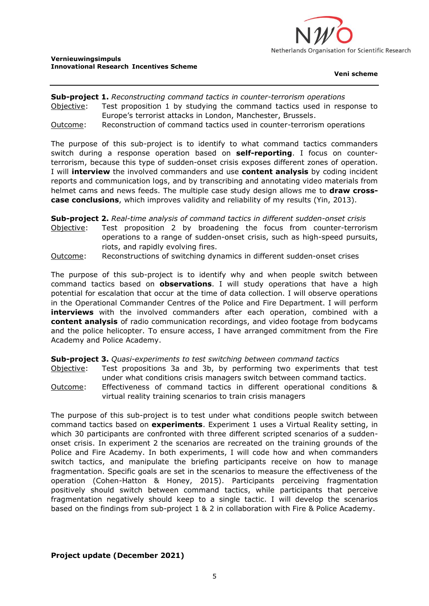

**Veni scheme**

# **Sub-project 1.** *Reconstructing command tactics in counter-terrorism operations* Objective: Test proposition 1 by studying the command tactics used in response to Europe's terrorist attacks in London, Manchester, Brussels.

Outcome: Reconstruction of command tactics used in counter-terrorism operations

The purpose of this sub-project is to identify to what command tactics commanders switch during a response operation based on **self-reporting**. I focus on counterterrorism, because this type of sudden-onset crisis exposes different zones of operation. I will **interview** the involved commanders and use **content analysis** by coding incident reports and communication logs, and by transcribing and annotating video materials from helmet cams and news feeds. The multiple case study design allows me to **draw crosscase conclusions**, which improves validity and reliability of my results (Yin, 2013).

**Sub-project 2.** *Real-time analysis of command tactics in different sudden-onset crisis* Objective: Test proposition 2 by broadening the focus from counter-terrorism operations to a range of sudden-onset crisis, such as high-speed pursuits, riots, and rapidly evolving fires.

Outcome: Reconstructions of switching dynamics in different sudden-onset crises

The purpose of this sub-project is to identify why and when people switch between command tactics based on **observations**. I will study operations that have a high potential for escalation that occur at the time of data collection. I will observe operations in the Operational Commander Centres of the Police and Fire Department. I will perform **interviews** with the involved commanders after each operation, combined with a **content analysis** of radio communication recordings, and video footage from bodycams and the police helicopter. To ensure access, I have arranged commitment from the Fire Academy and Police Academy.

**Sub-project 3.** *Quasi-experiments to test switching between command tactics*

- Objective: Test propositions 3a and 3b, by performing two experiments that test under what conditions crisis managers switch between command tactics.
- Outcome: Effectiveness of command tactics in different operational conditions & virtual reality training scenarios to train crisis managers

The purpose of this sub-project is to test under what conditions people switch between command tactics based on **experiments**. Experiment 1 uses a Virtual Reality setting, in which 30 participants are confronted with three different scripted scenarios of a suddenonset crisis. In experiment 2 the scenarios are recreated on the training grounds of the Police and Fire Academy. In both experiments, I will code how and when commanders switch tactics, and manipulate the briefing participants receive on how to manage fragmentation. Specific goals are set in the scenarios to measure the effectiveness of the operation (Cohen-Hatton & Honey, 2015). Participants perceiving fragmentation positively should switch between command tactics, while participants that perceive fragmentation negatively should keep to a single tactic. I will develop the scenarios based on the findings from sub-project 1 & 2 in collaboration with Fire & Police Academy.

## **Project update (December 2021)**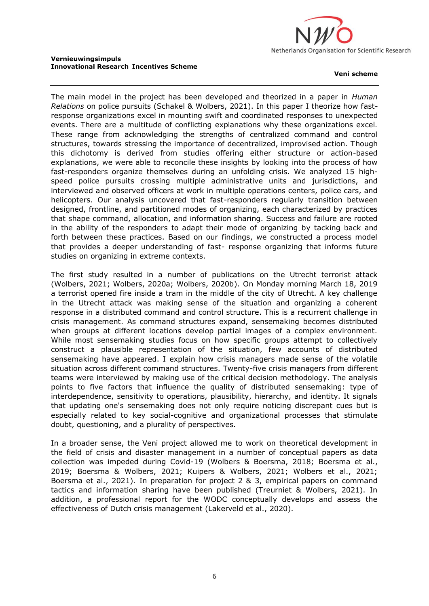

#### **Veni scheme**

The main model in the project has been developed and theorized in a paper in *Human Relations* on police pursuits (Schakel & Wolbers, 2021). In this paper I theorize how fastresponse organizations excel in mounting swift and coordinated responses to unexpected events. There are a multitude of conflicting explanations why these organizations excel. These range from acknowledging the strengths of centralized command and control structures, towards stressing the importance of decentralized, improvised action. Though this dichotomy is derived from studies offering either structure or action-based explanations, we were able to reconcile these insights by looking into the process of how fast-responders organize themselves during an unfolding crisis. We analyzed 15 highspeed police pursuits crossing multiple administrative units and jurisdictions, and interviewed and observed officers at work in multiple operations centers, police cars, and helicopters. Our analysis uncovered that fast-responders regularly transition between designed, frontline, and partitioned modes of organizing, each characterized by practices that shape command, allocation, and information sharing. Success and failure are rooted in the ability of the responders to adapt their mode of organizing by tacking back and forth between these practices. Based on our findings, we constructed a process model that provides a deeper understanding of fast- response organizing that informs future studies on organizing in extreme contexts.

The first study resulted in a number of publications on the Utrecht terrorist attack (Wolbers, 2021; Wolbers, 2020a; Wolbers, 2020b). On Monday morning March 18, 2019 a terrorist opened fire inside a tram in the middle of the city of Utrecht. A key challenge in the Utrecht attack was making sense of the situation and organizing a coherent response in a distributed command and control structure. This is a recurrent challenge in crisis management. As command structures expand, sensemaking becomes distributed when groups at different locations develop partial images of a complex environment. While most sensemaking studies focus on how specific groups attempt to collectively construct a plausible representation of the situation, few accounts of distributed sensemaking have appeared. I explain how crisis managers made sense of the volatile situation across different command structures. Twenty-five crisis managers from different teams were interviewed by making use of the critical decision methodology. The analysis points to five factors that influence the quality of distributed sensemaking: type of interdependence, sensitivity to operations, plausibility, hierarchy, and identity. It signals that updating one's sensemaking does not only require noticing discrepant cues but is especially related to key social-cognitive and organizational processes that stimulate doubt, questioning, and a plurality of perspectives.

In a broader sense, the Veni project allowed me to work on theoretical development in the field of crisis and disaster management in a number of conceptual papers as data collection was impeded during Covid-19 (Wolbers & Boersma, 2018; Boersma et al., 2019; Boersma & Wolbers, 2021; Kuipers & Wolbers, 2021; Wolbers et al., 2021; Boersma et al., 2021). In preparation for project 2 & 3, empirical papers on command tactics and information sharing have been published (Treurniet & Wolbers, 2021). In addition, a professional report for the WODC conceptually develops and assess the effectiveness of Dutch crisis management (Lakerveld et al., 2020).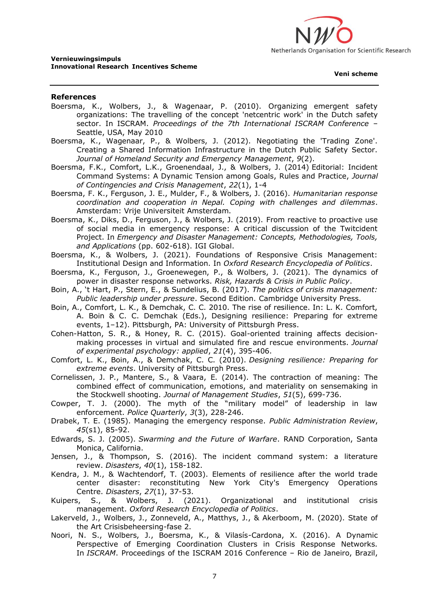

#### **References**

- Boersma, K., Wolbers, J., & Wagenaar, P. (2010). Organizing emergent safety organizations: The travelling of the concept 'netcentric work' in the Dutch safety sector. In ISCRAM. *Proceedings of the 7th International ISCRAM Conference* – Seattle, USA, May 2010
- Boersma, K., Wagenaar, P., & Wolbers, J. (2012). Negotiating the 'Trading Zone'. Creating a Shared Information Infrastructure in the Dutch Public Safety Sector. *Journal of Homeland Security and Emergency Management*, *9*(2).
- Boersma, F.K., Comfort, L.K., Groenendaal, J., & Wolbers, J. (2014) Editorial: Incident Command Systems: A Dynamic Tension among Goals, Rules and Practice, *Journal of Contingencies and Crisis Management*, *22*(1), 1-4
- Boersma, F. K., Ferguson, J. E., Mulder, F., & Wolbers, J. (2016). *Humanitarian response coordination and cooperation in Nepal. Coping with challenges and dilemmas*. Amsterdam: Vrije Universiteit Amsterdam.
- Boersma, K., Diks, D., Ferguson, J., & Wolbers, J. (2019). From reactive to proactive use of social media in emergency response: A critical discussion of the Twitcident Project. In *Emergency and Disaster Management: Concepts, Methodologies, Tools, and Applications* (pp. 602-618). IGI Global.
- Boersma, K., & Wolbers, J. (2021). Foundations of Responsive Crisis Management: Institutional Design and Information. In *Oxford Research Encyclopedia of Politics*.
- Boersma, K., Ferguson, J., Groenewegen, P., & Wolbers, J. (2021). The dynamics of power in disaster response networks. *Risk, Hazards & Crisis in Public Policy*.
- Boin, A., 't Hart, P., Stern, E., & Sundelius, B. (2017). *The politics of crisis management: Public leadership under pressure*. Second Edition. Cambridge University Press.
- Boin, A., Comfort, L. K., & Demchak, C. C. 2010. The rise of resilience. In: L. K. Comfort, A. Boin & C. C. Demchak (Eds.), Designing resilience: Preparing for extreme events, 1–12). Pittsburgh, PA: University of Pittsburgh Press.
- Cohen-Hatton, S. R., & Honey, R. C. (2015). Goal-oriented training affects decisionmaking processes in virtual and simulated fire and rescue environments. *Journal of experimental psychology: applied*, *21*(4), 395-406.
- Comfort, L. K., Boin, A., & Demchak, C. C. (2010). *Designing resilience: Preparing for extreme events*. University of Pittsburgh Press.
- Cornelissen, J. P., Mantere, S., & Vaara, E. (2014). The contraction of meaning: The combined effect of communication, emotions, and materiality on sensemaking in the Stockwell shooting. *Journal of Management Studies*, *51*(5), 699-736.
- Cowper, T. J. (2000). The myth of the "military model" of leadership in law enforcement. *Police Quarterly*, *3*(3), 228-246.
- Drabek, T. E. (1985). Managing the emergency response. *Public Administration Review*, *45*(s1), 85-92.
- Edwards, S. J. (2005). *Swarming and the Future of Warfare*. RAND Corporation, Santa Monica, California.
- Jensen, J., & Thompson, S. (2016). The incident command system: a literature review. *Disasters*, *40*(1), 158-182.
- Kendra, J. M., & Wachtendorf, T. (2003). Elements of resilience after the world trade center disaster: reconstituting New York City's Emergency Operations Centre. *Disasters*, *27*(1), 37-53.
- Kuipers, S., & Wolbers, J. (2021). Organizational and institutional crisis management. *Oxford Research Encyclopedia of Politics*.
- Lakerveld, J., Wolbers, J., Zonneveld, A., Matthys, J., & Akerboom, M. (2020). State of the Art Crisisbeheersing-fase 2.
- Noori, N. S., Wolbers, J., Boersma, K., & Vilasís-Cardona, X. (2016). A Dynamic Perspective of Emerging Coordination Clusters in Crisis Response Networks. In *ISCRAM*. Proceedings of the ISCRAM 2016 Conference – Rio de Janeiro, Brazil,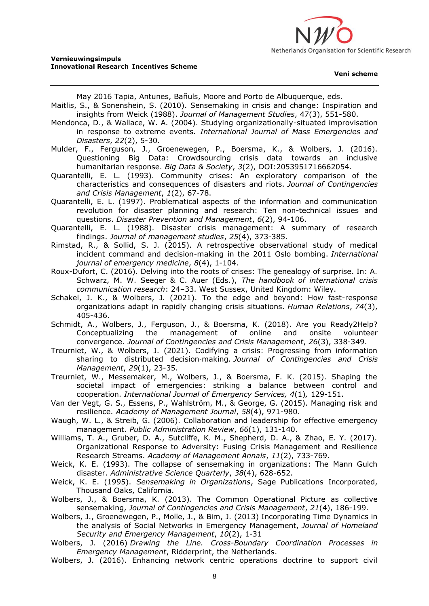

May 2016 Tapia, Antunes, Bañuls, Moore and Porto de Albuquerque, eds.

- Maitlis, S., & Sonenshein, S. (2010). Sensemaking in crisis and change: Inspiration and insights from Weick (1988). *Journal of Management Studies*, 47(3), 551-580.
- Mendonca, D., & Wallace, W. A. (2004). Studying organizationally-situated improvisation in response to extreme events. *International Journal of Mass Emergencies and Disasters*, *22*(2), 5-30.

Mulder, F., Ferguson, J., Groenewegen, P., Boersma, K., & Wolbers, J. (2016). Questioning Big Data: Crowdsourcing crisis data towards an inclusive humanitarian response. *Big Data & Society*, *3*(2), DOI:2053951716662054.

Quarantelli, E. L. (1993). Community crises: An exploratory comparison of the characteristics and consequences of disasters and riots. *Journal of Contingencies and Crisis Management*, *1*(2), 67-78.

Quarantelli, E. L. (1997). Problematical aspects of the information and communication revolution for disaster planning and research: Ten non-technical issues and questions. *Disaster Prevention and Management*, *6*(2), 94-106.

- Quarantelli, E. L. (1988). Disaster crisis management: A summary of research findings. *Journal of management studies*, *25*(4), 373-385.
- Rimstad, R., & Sollid, S. J. (2015). A retrospective observational study of medical incident command and decision-making in the 2011 Oslo bombing. *International journal of emergency medicine*, *8*(4), 1-104.

Roux-Dufort, C. (2016). Delving into the roots of crises: The genealogy of surprise. In: A. Schwarz, M. W. Seeger & C. Auer (Eds.), *The handbook of international crisis communication research*: 24–33. West Sussex, United Kingdom: Wiley.

Schakel, J. K., & Wolbers, J. (2021). To the edge and beyond: How fast-response organizations adapt in rapidly changing crisis situations. *Human Relations*, *74*(3), 405-436.

Schmidt, A., Wolbers, J., Ferguson, J., & Boersma, K. (2018). Are you Ready2Help? Conceptualizing the management of online and onsite volunteer convergence. *Journal of Contingencies and Crisis Management*, *26*(3), 338-349.

Treurniet, W., & Wolbers, J. (2021). Codifying a crisis: Progressing from information sharing to distributed decision‐making. *Journal of Contingencies and Crisis Management*, *29*(1), 23-35.

Treurniet, W., Messemaker, M., Wolbers, J., & Boersma, F. K. (2015). Shaping the societal impact of emergencies: striking a balance between control and cooperation. *International Journal of Emergency Services, 4*(1)*,* 129-151.

Van der Vegt, G. S., Essens, P., Wahlström, M., & George, G. (2015). Managing risk and resilience. *Academy of Management Journal*, *58*(4), 971-980.

Waugh, W. L., & Streib, G. (2006). Collaboration and leadership for effective emergency management. *Public Administration Review*, *66*(1), 131-140.

Williams, T. A., Gruber, D. A., Sutcliffe, K. M., Shepherd, D. A., & Zhao, E. Y. (2017). Organizational Response to Adversity: Fusing Crisis Management and Resilience Research Streams. *Academy of Management Annals*, *11*(2), 733-769.

Weick, K. E. (1993). The collapse of sensemaking in organizations: The Mann Gulch disaster. *Administrative Science Quarterly*, *38*(4), 628-652.

- Weick, K. E. (1995). *Sensemaking in Organizations*, Sage Publications Incorporated, Thousand Oaks, California.
- Wolbers, J., & Boersma, K. (2013). The Common Operational Picture as collective sensemaking, *Journal of Contingencies and Crisis Management*, *21*(4), 186-199.
- Wolbers, J., Groenewegen, P., Molle, J., & Bim, J. (2013) Incorporating Time Dynamics in the analysis of Social Networks in Emergency Management, *Journal of Homeland Security and Emergency Management*, *10*(2), 1-31
- Wolbers, J. (2016) *Drawing the Line. Cross-Boundary Coordination Processes in Emergency Management*, Ridderprint, the Netherlands.
- Wolbers, J. (2016). Enhancing network centric operations doctrine to support civil